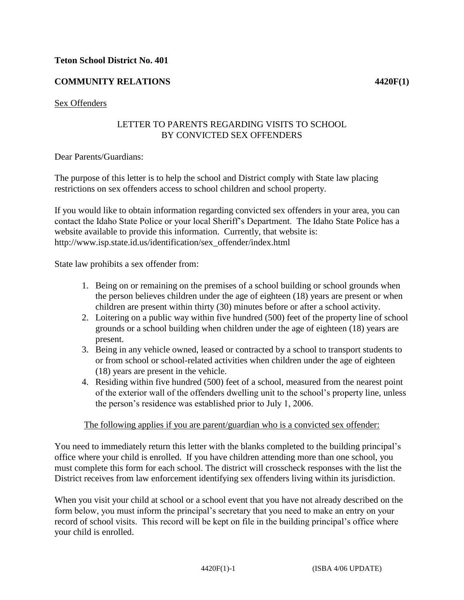### **Teton School District No. 401**

# **COMMUNITY RELATIONS** 4420F(1)

### Sex Offenders

### LETTER TO PARENTS REGARDING VISITS TO SCHOOL BY CONVICTED SEX OFFENDERS

Dear Parents/Guardians:

The purpose of this letter is to help the school and District comply with State law placing restrictions on sex offenders access to school children and school property.

If you would like to obtain information regarding convicted sex offenders in your area, you can contact the Idaho State Police or your local Sheriff's Department. The Idaho State Police has a website available to provide this information. Currently, that website is: http://www.isp.state.id.us/identification/sex\_offender/index.html

State law prohibits a sex offender from:

- 1. Being on or remaining on the premises of a school building or school grounds when the person believes children under the age of eighteen (18) years are present or when children are present within thirty (30) minutes before or after a school activity.
- 2. Loitering on a public way within five hundred (500) feet of the property line of school grounds or a school building when children under the age of eighteen (18) years are present.
- 3. Being in any vehicle owned, leased or contracted by a school to transport students to or from school or school-related activities when children under the age of eighteen (18) years are present in the vehicle.
- 4. Residing within five hundred (500) feet of a school, measured from the nearest point of the exterior wall of the offenders dwelling unit to the school's property line, unless the person's residence was established prior to July 1, 2006.

### The following applies if you are parent/guardian who is a convicted sex offender:

You need to immediately return this letter with the blanks completed to the building principal's office where your child is enrolled. If you have children attending more than one school, you must complete this form for each school. The district will crosscheck responses with the list the District receives from law enforcement identifying sex offenders living within its jurisdiction.

When you visit your child at school or a school event that you have not already described on the form below, you must inform the principal's secretary that you need to make an entry on your record of school visits. This record will be kept on file in the building principal's office where your child is enrolled.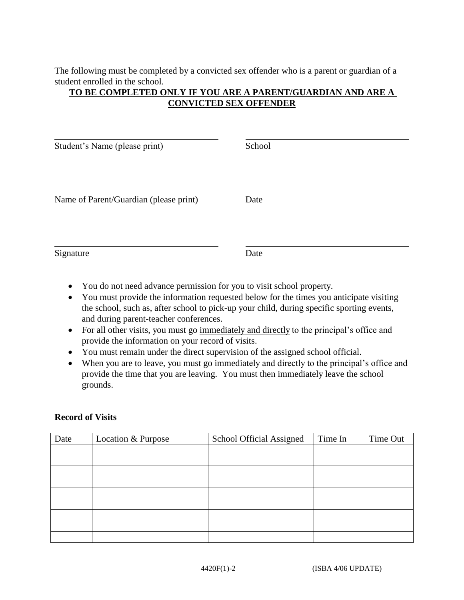The following must be completed by a convicted sex offender who is a parent or guardian of a student enrolled in the school.

## **TO BE COMPLETED ONLY IF YOU ARE A PARENT/GUARDIAN AND ARE A CONVICTED SEX OFFENDER**

| Student's Name (please print)          | School |
|----------------------------------------|--------|
| Name of Parent/Guardian (please print) | Date   |
| Signature                              | Date   |

- You do not need advance permission for you to visit school property.
- You must provide the information requested below for the times you anticipate visiting the school, such as, after school to pick-up your child, during specific sporting events, and during parent-teacher conferences.
- For all other visits, you must go immediately and directly to the principal's office and provide the information on your record of visits.
- You must remain under the direct supervision of the assigned school official.
- When you are to leave, you must go immediately and directly to the principal's office and provide the time that you are leaving. You must then immediately leave the school grounds.

### **Record of Visits**

| Date | Location & Purpose | School Official Assigned | Time In | Time Out |
|------|--------------------|--------------------------|---------|----------|
|      |                    |                          |         |          |
|      |                    |                          |         |          |
|      |                    |                          |         |          |
|      |                    |                          |         |          |
|      |                    |                          |         |          |
|      |                    |                          |         |          |
|      |                    |                          |         |          |
|      |                    |                          |         |          |
|      |                    |                          |         |          |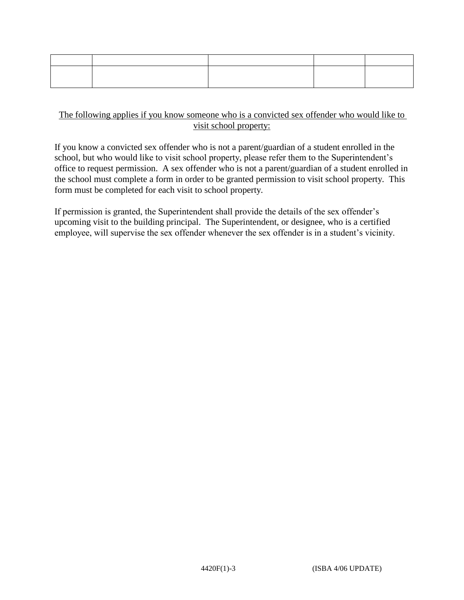## The following applies if you know someone who is a convicted sex offender who would like to visit school property:

If you know a convicted sex offender who is not a parent/guardian of a student enrolled in the school, but who would like to visit school property, please refer them to the Superintendent's office to request permission. A sex offender who is not a parent/guardian of a student enrolled in the school must complete a form in order to be granted permission to visit school property. This form must be completed for each visit to school property.

If permission is granted, the Superintendent shall provide the details of the sex offender's upcoming visit to the building principal. The Superintendent, or designee, who is a certified employee, will supervise the sex offender whenever the sex offender is in a student's vicinity.